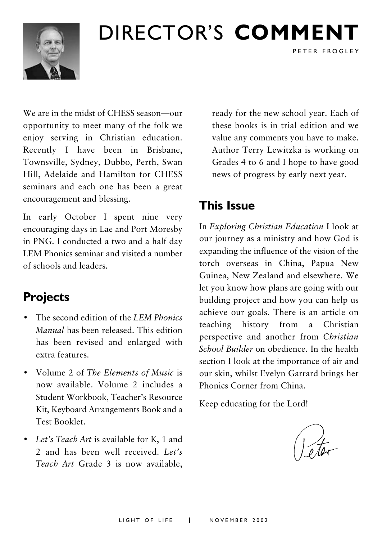

## DIRECTOR'S COMMENT

We are in the midst of CHESS season-our opportunity to meet many of the folk we enjoy serving in Christian education. Recently I have been in Brisbane. Townsville, Sydney, Dubbo, Perth, Swan Hill, Adelaide and Hamilton for CHESS seminars and each one has been a great encouragement and blessing.

In early October I spent nine very encouraging days in Lae and Port Moresby in PNG. I conducted a two and a half day LEM Phonics seminar and visited a number of schools and leaders

## **Projects**

- The second edition of the LEM Phonics Manual has been released. This edition has been revised and enlarged with extra features.
- Volume 2 of The Elements of Music is now available. Volume 2 includes a Student Workbook, Teacher's Resource Kit, Keyboard Arrangements Book and a Test Booklet
- Let's Teach Art is available for K, 1 and 2 and has been well received. Let's Teach Art Grade 3 is now available.

ready for the new school year. Each of these books is in trial edition and we value any comments you have to make. Author Terry Lewitzka is working on Grades 4 to 6 and I hope to have good news of progress by early next year.

PETER FROGLEY

## **This Issue**

In Exploring Christian Education I look at our journey as a ministry and how God is expanding the influence of the vision of the torch overseas in China, Papua New Guinea New Zealand and elsewhere We let you know how plans are going with our building project and how you can help us achieve our goals. There is an article on teaching history from a Christian perspective and another from Christian School Builder on obedience. In the health section I look at the importance of air and our skin, whilst Evelyn Garrard brings her Phonics Corner from China

Keep educating for the Lord!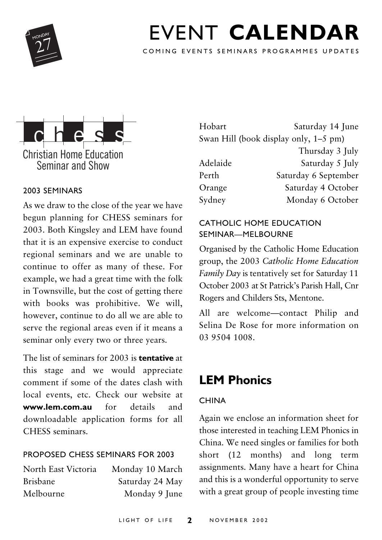

## **FVENT CALENDAR**

COMING EVENTS SEMINARS PROGRAMMES UPDATES



#### 2003 SEMINARS

As we draw to the close of the year we have begun planning for CHESS seminars for 2003. Both Kingsley and LEM have found that it is an expensive exercise to conduct regional seminars and we are unable to continue to offer as many of these. For example, we had a great time with the folk in Townsville, but the cost of getting there with books was prohibitive. We will, however, continue to do all we are able to serve the regional areas even if it means a seminar only every two or three years.

The list of seminars for 2003 is **tentative** at this stage and we would appreciate comment if some of the dates clash with local events, etc. Check our website at www.lem.com.au for details and downloadable application forms for all CHESS seminars.

#### PROPOSED CHESS SEMINARS FOR 2003

| Monday 10 March |
|-----------------|
| Saturday 24 May |
| Monday 9 June   |
|                 |

| Hobart   | Saturday 14 June                      |
|----------|---------------------------------------|
|          | Swan Hill (book display only, 1–5 pm) |
|          | Thursday 3 July                       |
| Adelaide | Saturday 5 July                       |
| Perth    | Saturday 6 September                  |
| Orange   | Saturday 4 October                    |
| Sydney   | Monday 6 October                      |

#### CATHOLIC HOME EDUCATION SEMINAR—MELBOURNE

Organised by the Catholic Home Education group, the 2003 Catholic Home Education Family Day is tentatively set for Saturday 11 October 2003 at St Patrick's Parish Hall, Cnr Rogers and Childers Sts, Mentone.

All are welcome—contact Philip and Selina De Rose for more information on 03 9504 1008.

## **LEM Phonics**

#### CHINA

Again we enclose an information sheet for those interested in teaching LEM Phonics in China. We need singles or families for both short (12 months) and long term assignments. Many have a heart for China and this is a wonderful opportunity to serve with a great group of people investing time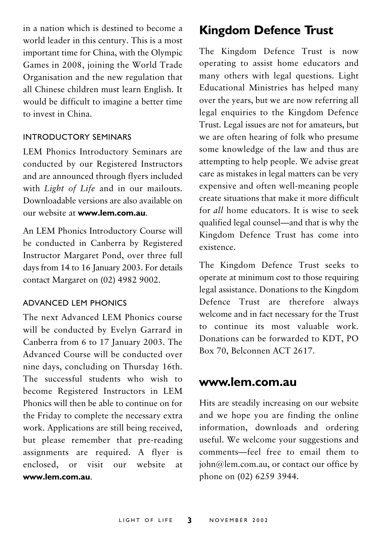in a nation which is destined to become a world leader in this century. This is a most important time for China, with the Olympic Games in 2008, joining the World Trade Organisation and the new regulation that all Chinese children must learn English. It would be difficult to imagine a better time to invest in China

#### INTRODUCTORY SEMINARS

LEM Phonics Introductory Seminars are conducted by our Registered Instructors and are announced through flyers included with Light of Life and in our mailouts. Downloadable versions are also available on our website at www.lem.com.au

An LEM Phonics Introductory Course will be conducted in Canberra by Registered Instructor Margaret Pond, over three full days from 14 to 16 January 2003. For details contact Margaret on (02) 4982 9002.

#### ADVANCED LEM PHONICS

The next Advanced LEM Phonics course will be conducted by Evelyn Garrard in Canberra from 6 to 17 January 2003. The Advanced Course will be conducted over nine days, concluding on Thursday 16th. The successful students who wish to become Registered Instructors in LEM Phonics will then be able to continue on for the Friday to complete the necessary extra work. Applications are still being received, but please remember that pre-reading assignments are required. A flyer is enclosed or visit our website <sub>at</sub> www.lem.com.au

## **Kingdom Defence Trust**

The Kingdom Defence Trust is now operating to assist home educators and many others with legal questions. Light Educational Ministries has helped many over the vears, but we are now referring all legal enquiries to the Kingdom Defence Trust. Legal issues are not for amateurs, but we are often hearing of folk who presume some knowledge of the law and thus are attempting to help people. We advise great care as mistakes in legal matters can be very expensive and often well-meaning people create situations that make it more difficult for all home educators. It is wise to seek qualified legal counsel—and that is why the Kingdom Defence Trust has come into existence.

The Kingdom Defence Trust seeks to operate at minimum cost to those requiring legal assistance. Donations to the Kingdom Defence Trust are therefore always welcome and in fact necessary for the Trust to continue its most valuable work. Donations can be forwarded to KDT, PO Box 70, Belconnen ACT 2617.

#### www.lem.com.au

Hits are steadily increasing on our website and we hope you are finding the online information, downloads and ordering useful. We welcome your suggestions and comments-feel free to email them to john@lem.com.au, or contact our office by phone on (02) 6259 3944.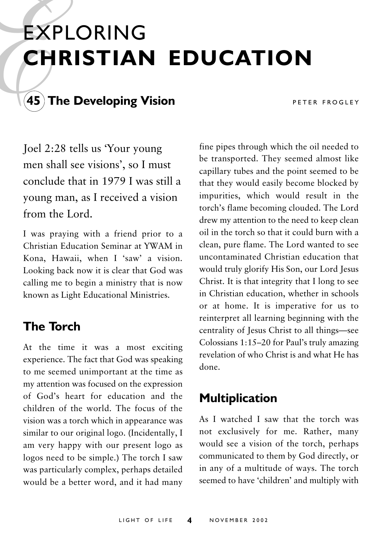## **EXPLORING CHRISTIAN EDUCATION**



## $(45)$  The Developing Vision

PETER FROGLEY

Joel 2:28 tells us 'Your young men shall see visions', so I must conclude that in 1979 I was still a young man, as I received a vision from the Lord

I was praying with a friend prior to a Christian Education Seminar at YWAM in Kona, Hawaii, when I 'saw' a vision. Looking back now it is clear that God was calling me to begin a ministry that is now known as Light Educational Ministries.

## **The Torch**

At the time it was a most exciting experience. The fact that God was speaking to me seemed unimportant at the time as my attention was focused on the expression of God's heart for education and the children of the world. The focus of the vision was a torch which in appearance was similar to our original logo. (Incidentally, I am very happy with our present logo as logos need to be simple.) The torch I saw was particularly complex, perhaps detailed would be a better word, and it had many

fine pipes through which the oil needed to be transported. They seemed almost like capillary tubes and the point seemed to be that they would easily become blocked by impurities, which would result in the torch's flame becoming clouded. The Lord drew my attention to the need to keep clean oil in the torch so that it could burn with a clean, pure flame. The Lord wanted to see uncontaminated Christian education that would truly glorify His Son, our Lord Jesus Christ. It is that integrity that I long to see in Christian education, whether in schools or at home. It is imperative for us to reinterpret all learning beginning with the centrality of Jesus Christ to all things-see Colossians 1:15-20 for Paul's truly amazing revelation of who Christ is and what He has done.

## **Multiplication**

As I watched I saw that the torch was not exclusively for me. Rather, many would see a vision of the torch, perhaps communicated to them by God directly, or in any of a multitude of ways. The torch seemed to have 'children' and multiply with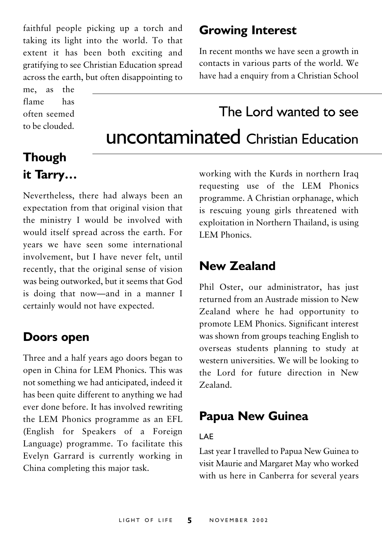faithful people picking up a torch and taking its light into the world. To that extent it has been both exciting and gratifying to see Christian Education spread across the earth, but often disappointing to

the me, as flame has often seemed to be clouded.

### **Growing Interest**

In recent months we have seen a growth in contacts in various parts of the world. We have had a enquiry from a Christian School

## The Lord wanted to see **UNCONTAMINATED** Christian Education

## **Though** it Tarry...

Nevertheless, there had always been an expectation from that original vision that the ministry I would be involved with would itself spread across the earth. For vears we have seen some international involvement, but I have never felt, until recently, that the original sense of vision was being outworked, but it seems that God is doing that now-and in a manner I certainly would not have expected.

### Doors open

Three and a half years ago doors began to open in China for LEM Phonics. This was not something we had anticipated, indeed it has been quite different to anything we had ever done before. It has involved rewriting the LEM Phonics programme as an EFL (English for Speakers of a Foreign Language) programme. To facilitate this Evelyn Garrard is currently working in China completing this major task.

working with the Kurds in northern Iraq requesting use of the LEM Phonics programme. A Christian orphanage, which is rescuing young girls threatened with exploitation in Northern Thailand, is using **I FM Phonics** 

### New Zealand

Phil Oster, our administrator, has just returned from an Austrade mission to New Zealand where he had opportunity to promote LEM Phonics. Significant interest was shown from groups teaching English to overseas students planning to study at western universities. We will be looking to the Lord for future direction in New Zealand

### **Papua New Guinea**

#### LAF

Last year I travelled to Papua New Guinea to visit Maurie and Margaret May who worked with us here in Canberra for several years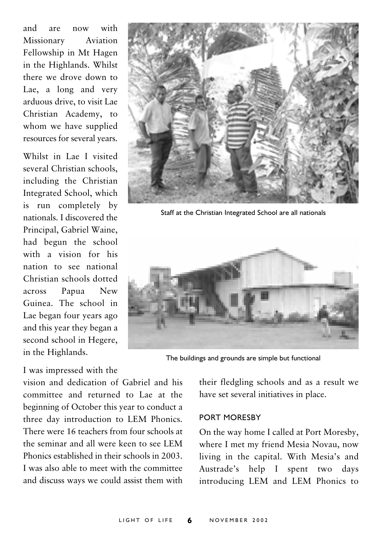and are  $now$ with Missionary Aviation Fellowship in Mt Hagen in the Highlands. Whilst there we drove down to Lae, a long and very arduous drive, to visit Lae Christian Academy, to whom we have supplied resources for several years.

Whilst in Lae I visited several Christian schools. including the Christian Integrated School, which is run completely by nationals I discovered the Principal, Gabriel Waine, had begun the school with a vision for his nation to see national Christian schools dotted across Papua New Guinea. The school in Lae began four years ago and this year they began a second school in Hegere, in the Highlands.

I was impressed with the

vision and dedication of Gabriel and his committee and returned to Lae at the beginning of October this year to conduct a three day introduction to LEM Phonics. There were 16 teachers from four schools at the seminar and all were keen to see LEM Phonics established in their schools in 2003. I was also able to meet with the committee and discuss ways we could assist them with



Staff at the Christian Integrated School are all nationals



The buildings and grounds are simple but functional

their fledgling schools and as a result we have set several initiatives in place.

#### PORT MORESBY

On the way home I called at Port Moresby, where I met my friend Mesia Novau, now living in the capital. With Mesia's and Austrade's help I spent two days introducing LEM and LEM Phonics to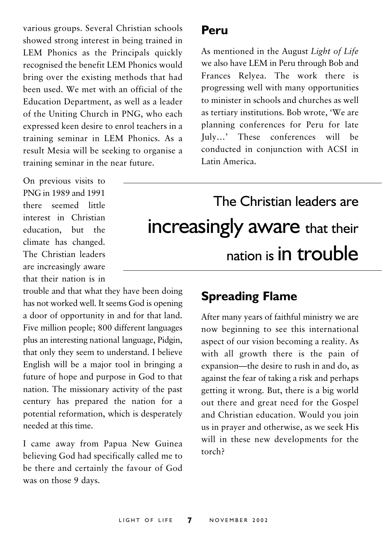various groups. Several Christian schools showed strong interest in being trained in LEM Phonics as the Principals quickly recognised the benefit LEM Phonics would bring over the existing methods that had been used. We met with an official of the Education Department, as well as a leader of the Uniting Church in PNG, who each expressed keen desire to enrol teachers in a training seminar in LEM Phonics. As a result Mesia will be seeking to organise a training seminar in the near future.

On previous visits to PNG in 1989 and 1991 there seemed little interest in Christian education, but the climate has changed. The Christian leaders are increasingly aware that their nation is in

trouble and that what they have been doing has not worked well. It seems God is opening a door of opportunity in and for that land. Five million people; 800 different languages plus an interesting national language, Pidgin, that only they seem to understand. I believe English will be a major tool in bringing a future of hope and purpose in God to that nation. The missionary activity of the past century has prepared the nation for a potential reformation, which is desperately needed at this time

I came away from Papua New Guinea believing God had specifically called me to be there and certainly the favour of God was on those 9 days.

#### Peru

As mentioned in the August Light of Life we also have LEM in Peru through Bob and Frances Relvea. The work there is progressing well with many opportunities to minister in schools and churches as well as tertiary institutions. Bob wrote. 'We are planning conferences for Peru for late July...,<sup>3</sup> These conferences will be conducted in conjunction with ACSI in Latin America

## The Christian leaders are increasingly aware that their nation is in trouble

### **Spreading Flame**

After many years of faithful ministry we are now beginning to see this international aspect of our vision becoming a reality. As with all growth there is the pain of expansion—the desire to rush in and do, as against the fear of taking a risk and perhaps getting it wrong. But, there is a big world out there and great need for the Gospel and Christian education. Would you join us in prayer and otherwise, as we seek His will in these new developments for the  $t^{\alpha}$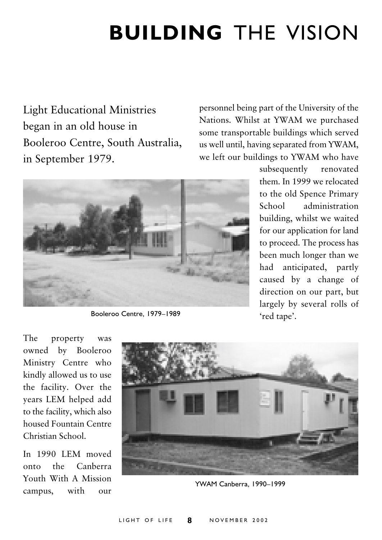## **BUILDING** THE VISION

Light Educational Ministries began in an old house in Booleroo Centre, South Australia, in September 1979.

personnel being part of the University of the Nations. Whilst at YWAM we purchased some transportable buildings which served us well until, having separated from YWAM, we left our buildings to YWAM who have



Booleroo Centre, 1979–1989

subsequently re novated them. In 1999 we relocated to the old Spence Primary School administration building, whilst we waited for our application for land to proceed. The process has been much longer than we had anticipated, partly caused by a change of direction on our part, but largely by several rolls of 'red tape'.

The property was owned by Booleroo Ministry Centre who kindly allowed us to use the facility. Over the years LEM helped add to the facility, which also housed Fountain Centre Christian School.

In 1990 LEM moved onto the Canberra Youth With A Mission campus, with our



YWAM Canberra, 1990–1999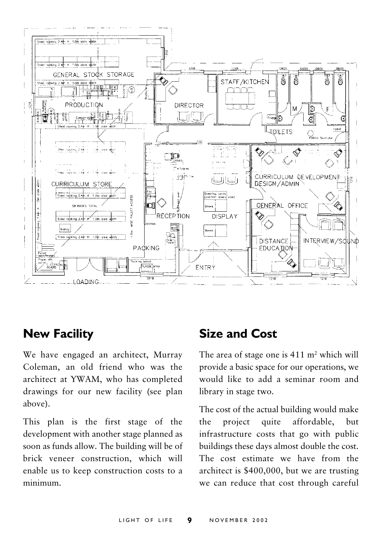

### **New Facility**

We have engaged an architect, Murray Coleman, an old friend who was the architect at YWAM, who has completed drawings for our new facility (see plan above).

This plan is the first stage of the development with another stage planned as soon as funds allow. The building will be of brick veneer construction, which will enable us to keep construction costs to a minimum.

### **Size and Cost**

The area of stage one is  $411 \text{ m}^2$  which will provide a basic space for our operations, we would like to add a seminar room and library in stage two.

The cost of the actual building would make the project quite affordable, hut infrastructure costs that go with public buildings these days almost double the cost. The cost estimate we have from the architect is \$400,000, but we are trusting we can reduce that cost through careful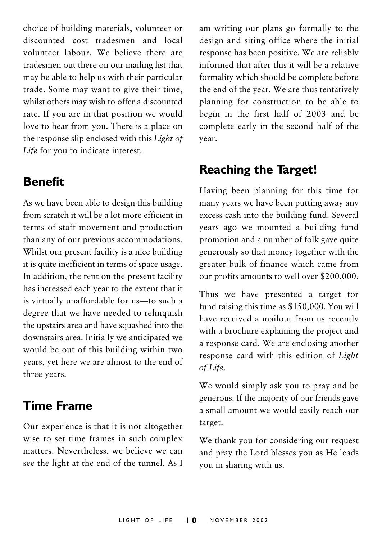choice of building materials, volunteer or discounted cost tradesmen and local volunteer labour. We believe there are tradesmen out there on our mailing list that may be able to help us with their particular trade. Some may want to give their time. whilst others may wish to offer a discounted rate. If you are in that position we would love to hear from you. There is a place on the response slip enclosed with this Light of Life for you to indicate interest.

### **Benefit**

As we have been able to design this building from scratch it will be a lot more efficient in terms of staff movement and production than any of our previous accommodations. Whilst our present facility is a nice building it is quite inefficient in terms of space usage. In addition, the rent on the present facility has increased each year to the extent that it is virtually unaffordable for us-to such a degree that we have needed to relinquish the upstairs area and have squashed into the downstairs area. Initially we anticipated we would be out of this building within two years, yet here we are almost to the end of three years.

## **Time Frame**

Our experience is that it is not altogether wise to set time frames in such complex matters. Nevertheless, we believe we can see the light at the end of the tunnel. As I am writing our plans go formally to the design and siting office where the initial response has been positive. We are reliably informed that after this it will be a relative formality which should be complete before the end of the year. We are thus tentatively planning for construction to be able to begin in the first half of 2003 and be complete early in the second half of the vear.

### **Reaching the Target!**

Having been planning for this time for many years we have been putting away any excess cash into the building fund. Several years ago we mounted a building fund promotion and a number of folk gave quite generously so that money together with the greater bulk of finance which came from our profits amounts to well over \$200,000.

Thus we have presented a target for fund raising this time as \$150,000. You will have received a mailout from us recently with a brochure explaining the project and a response card. We are enclosing another response card with this edition of Light of Life.

We would simply ask you to pray and be generous. If the majority of our friends gave a small amount we would easily reach our target.

We thank you for considering our request and pray the Lord blesses you as He leads you in sharing with us.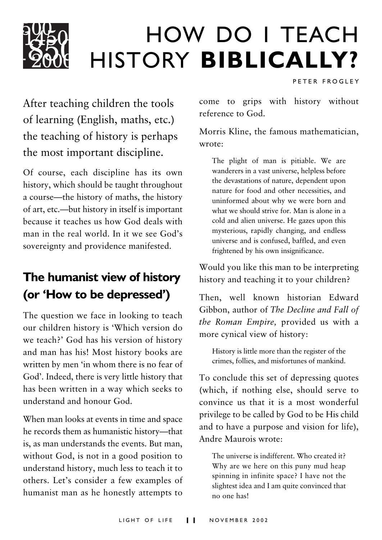

## **HOW DO I TEACH** HISTORY BIBLICALLY?

PETER FROGLEY

After teaching children the tools of learning (English, maths, etc.) the teaching of history is perhaps the most important discipline.

Of course, each discipline has its own history, which should be taught throughout a course—the history of maths, the history of art, etc.—but history in itself is important because it teaches us how God deals with man in the real world. In it we see God's sovereignty and providence manifested.

## The humanist view of history (or 'How to be depressed')

The question we face in looking to teach our children history is 'Which version do we teach?' God has his version of history and man has his! Most history books are written by men 'in whom there is no fear of God'. Indeed, there is very little history that has been written in a way which seeks to understand and honour God.

When man looks at events in time and space he records them as humanistic history-that is, as man understands the events. But man, without God, is not in a good position to understand history, much less to teach it to others. Let's consider a few examples of humanist man as he honestly attempts to come to grips with history without reference to God

Morris Kline, the famous mathematician, wrote:

The plight of man is pitiable. We are wanderers in a vast universe, helpless before the devastations of nature, dependent upon nature for food and other necessities, and uninformed about why we were born and what we should strive for. Man is alone in a cold and alien universe. He gazes upon this mysterious, rapidly changing, and endless universe and is confused, baffled, and even frightened by his own insignificance.

Would you like this man to be interpreting history and teaching it to your children?

Then, well known historian Edward Gibbon, author of The Decline and Fall of the Roman Empire, provided us with a more cynical view of history:

History is little more than the register of the crimes, follies, and misfortunes of mankind.

To conclude this set of depressing quotes (which, if nothing else, should serve to convince us that it is a most wonderful privilege to be called by God to be His child and to have a purpose and vision for life), Andre Maurois wrote:

The universe is indifferent. Who created it? Why are we here on this puny mud heap spinning in infinite space? I have not the slightest idea and I am quite convinced that no one has!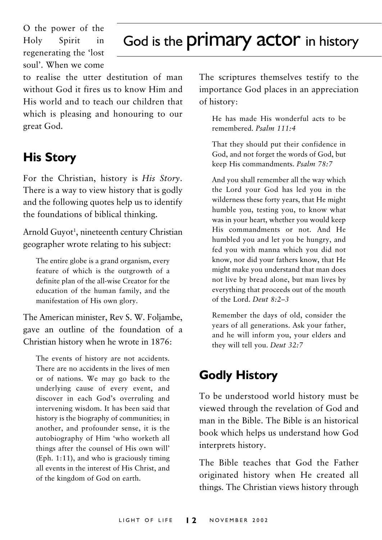O the power of the Holy Spirit in regenerating the 'lost soul'. When we come

## God is the **primary actor** in history

to realise the utter destitution of man without God it fires us to know Him and His world and to teach our children that which is pleasing and honouring to our great God.

## **His Story**

For the Christian, history is His Story. There is a way to view history that is godly and the following quotes help us to identify the foundations of biblical thinking.

Arnold Guyot<sup>1</sup>, nineteenth century Christian geographer wrote relating to his subject:

The entire globe is a grand organism, every feature of which is the outgrowth of a definite plan of the all-wise Creator for the education of the human family, and the manifestation of His own glory.

The American minister, Rev S. W. Foljambe, gave an outline of the foundation of a Christian history when he wrote in 1876:

The events of history are not accidents. There are no accidents in the lives of men or of nations. We may go back to the underlying cause of every event, and discover in each God's overruling and intervening wisdom. It has been said that history is the biography of communities; in another, and profounder sense, it is the autobiography of Him 'who worketh all things after the counsel of His own will' (Eph. 1:11), and who is graciously timing all events in the interest of His Christ, and of the kingdom of God on earth.

The scriptures themselves testify to the importance God places in an appreciation of history:

He has made His wonderful acts to be remembered. Psalm 111:4

That they should put their confidence in God, and not forget the words of God, but keep His commandments. Psalm 78:7

And you shall remember all the way which the Lord your God has led you in the wilderness these forty years, that He might humble you, testing you, to know what was in your heart, whether you would keep His commandments or not. And He humbled you and let you be hungry, and fed you with manna which you did not know, nor did your fathers know, that He might make you understand that man does not live by bread alone, but man lives by everything that proceeds out of the mouth of the Lord Deut  $8.2-3$ 

Remember the days of old, consider the years of all generations. Ask your father, and he will inform you, your elders and they will tell you. Deut 32:7

## **Godly History**

To be understood world history must be viewed through the revelation of God and man in the Bible. The Bible is an historical book which helps us understand how God interprets history.

The Bible teaches that God the Eather originated history when He created all things. The Christian views history through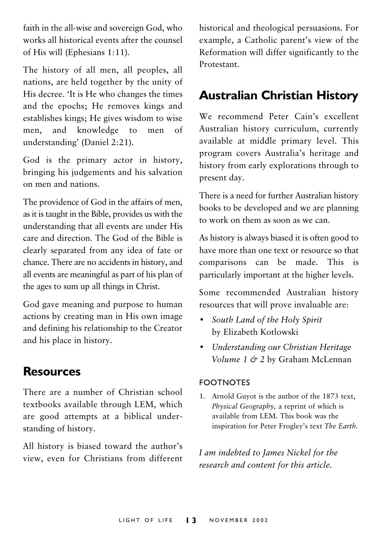faith in the all-wise and sovereign God, who works all historical events after the counsel of His will (Ephesians 1:11).

The history of all men, all peoples, all nations, are held together by the unity of His decree. 'It is He who changes the times and the epochs; He removes kings and establishes kings; He gives wisdom to wise knowledge and men of men.  $\overline{t}$ understanding' (Daniel 2:21).

God is the primary actor in history, bringing his judgements and his salvation on men and nations

The providence of God in the affairs of men, as it is taught in the Bible, provides us with the understanding that all events are under His care and direction. The God of the Bible is clearly separated from any idea of fate or chance. There are no accidents in history, and all events are meaningful as part of his plan of the ages to sum up all things in Christ.

God gave meaning and purpose to human actions by creating man in His own image and defining his relationship to the Creator and his place in history.

### **Resources**

There are a number of Christian school textbooks available through LEM, which are good attempts at a biblical understanding of history.

All history is biased toward the author's view, even for Christians from different historical and theological persuasions. For example, a Catholic parent's view of the Reformation will differ significantly to the Protestant.

## **Australian Christian History**

We recommend Peter Cain's excellent Australian history curriculum, currently available at middle primary level. This program covers Australia's heritage and history from early explorations through to present day.

There is a need for further Australian history books to be developed and we are planning to work on them as soon as we can

As history is always biased it is often good to have more than one text or resource so that comparisons can be made. This is particularly important at the higher levels.

Some recommended Australian history resources that will prove invaluable are:

- South Land of the Holy Spirit  $\bullet$ by Elizabeth Kotlowski
- Understanding our Christian Heritage Volume 1 & 2 by Graham McLennan

#### **FOOTNOTES**

1. Arnold Guyot is the author of the 1873 text, Physical Geography, a reprint of which is available from LEM This book was the inspiration for Peter Frogley's text The Earth.

I am indebted to James Nickel for the research and content for this article.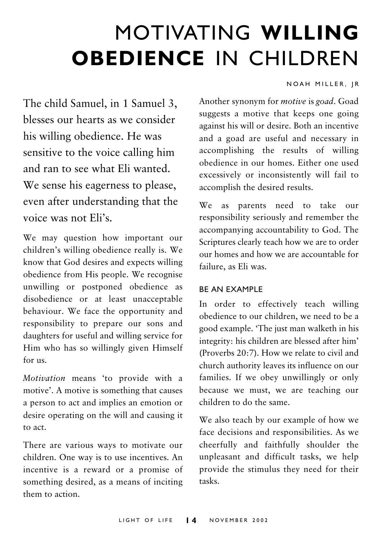## MOTIVATING WILLING **OBEDIENCE IN CHILDREN**

#### NOAH MILLER, IR

The child Samuel, in 1 Samuel 3, blesses our hearts as we consider his willing obedience. He was sensitive to the voice calling him and ran to see what Eli wanted. We sense his eagerness to please. even after understanding that the voice was not Eli's

We may question how important our children's willing obedience really is. We know that God desires and expects willing obedience from His people. We recognise unwilling or postponed obedience as disobedience or at least unacceptable behaviour. We face the opportunity and responsibility to prepare our sons and daughters for useful and willing service for Him who has so willingly given Himself  $for us.$ 

Motivation means 'to provide with a motive'. A motive is something that causes a person to act and implies an emotion or desire operating on the will and causing it to act.

There are various ways to motivate our children. One way is to use incentives. An incentive is a reward or a promise of something desired, as a means of inciting them to action

Another synonym for *motive* is goad. Goad suggests a motive that keeps one going against his will or desire. Both an incentive and a goad are useful and necessary in accomplishing the results of willing obedience in our homes. Either one used excessively or inconsistently will fail to accomplish the desired results.

We as parents need to take our responsibility seriously and remember the accompanying accountability to God. The Scriptures clearly teach how we are to order our homes and how we are accountable for failure, as Eli was.

#### **BE AN EXAMPLE**

In order to effectively teach willing obedience to our children, we need to be a good example. The just man walketh in his integrity: his children are blessed after him' (Proverbs 20:7). How we relate to civil and church authority leaves its influence on our families. If we obey unwillingly or only because we must, we are teaching our children to do the same

We also teach by our example of how we face decisions and responsibilities. As we cheerfully and faithfully shoulder the unpleasant and difficult tasks, we help provide the stimulus they need for their tasks.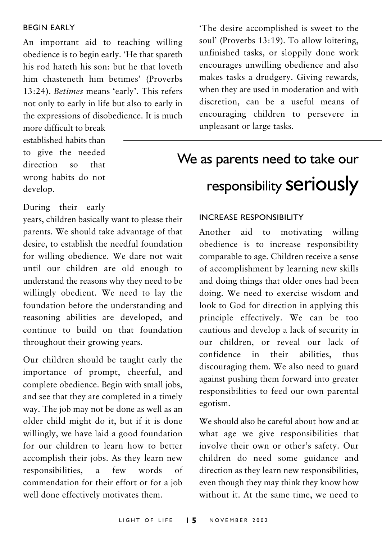#### **REGIN FARLY**

An important aid to teaching willing obedience is to begin early. 'He that spareth his rod hateth his son; but he that loveth him chasteneth him betimes' (Proverbs 13:24). Betimes means 'early'. This refers not only to early in life but also to early in the expressions of disobedience. It is much

more difficult to break established habits than to give the needed direction so that wrong habits do not develop.

'The desire accomplished is sweet to the soul' (Proverbs 13:19). To allow loitering, unfinished tasks, or sloppily done work encourages unwilling obedience and also makes tasks a drudgery. Giving rewards, when they are used in moderation and with discretion, can be a useful means of encouraging children to persevere in unpleasant or large tasks.

## We as parents need to take our responsibility seriously

During their early

vears, children basically want to please their parents. We should take advantage of that desire, to establish the needful foundation for willing obedience. We dare not wait until our children are old enough to understand the reasons why they need to be willingly obedient. We need to lay the foundation before the understanding and reasoning abilities are developed, and continue to build on that foundation throughout their growing years.

Our children should be taught early the importance of prompt, cheerful, and complete obedience. Begin with small jobs, and see that they are completed in a timely way. The job may not be done as well as an older child might do it, but if it is done willingly, we have laid a good foundation for our children to learn how to better accomplish their jobs. As they learn new a few words responsibilities,  $\alpha$ f commendation for their effort or for a job well done effectively motivates them.

#### **INCREASE RESPONSIBILITY**

Another aid to motivating willing obedience is to increase responsibility comparable to age. Children receive a sense of accomplishment by learning new skills and doing things that older ones had been doing. We need to exercise wisdom and look to God for direction in applying this principle effectively. We can be too cautious and develop a lack of security in our children, or reveal our lack of confidence in their abilities, thus discouraging them. We also need to guard against pushing them forward into greater responsibilities to feed our own parental egotism.

We should also be careful about how and at what age we give responsibilities that involve their own or other's safety. Our children do need some guidance and direction as they learn new responsibilities, even though they may think they know how without it. At the same time, we need to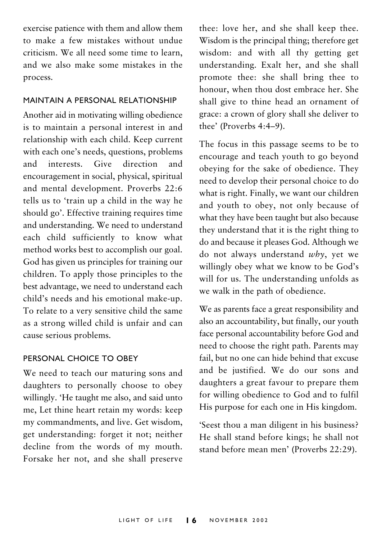exercise patience with them and allow them to make a few mistakes without undue criticism. We all need some time to learn. and we also make some mistakes in the process.

#### MAINTAIN A PERSONAL RELATIONSHIP

Another aid in motivating willing obedience is to maintain a personal interest in and relationship with each child. Keep current with each one's needs, questions, problems and interests Give direction - and encouragement in social, physical, spiritual and mental development. Proverbs 22:6 tells us to 'train up a child in the way he should go'. Effective training requires time and understanding. We need to understand each child sufficiently to know what method works best to accomplish our goal. God has given us principles for training our children. To apply those principles to the best advantage, we need to understand each child's needs and his emotional make-up. To relate to a very sensitive child the same as a strong willed child is unfair and can cause serious problems.

#### PERSONAL CHOICE TO OBEY

We need to teach our maturing sons and daughters to personally choose to obey willingly. 'He taught me also, and said unto me, Let thine heart retain my words: keep my commandments, and live. Get wisdom, get understanding: forget it not; neither decline from the words of my mouth. Forsake her not, and she shall preserve thee: love her, and she shall keep thee. Wisdom is the principal thing; therefore get wisdom: and with all thy getting get understanding. Exalt her, and she shall promote thee: she shall bring thee to honour, when thou dost embrace her. She shall give to thine head an ornament of grace: a crown of glory shall she deliver to thee' (Proverbs 4:4-9).

The focus in this passage seems to be to encourage and teach youth to go beyond obeying for the sake of obedience. They need to develop their personal choice to do what is right. Finally, we want our children and youth to obey, not only because of what they have been taught but also because they understand that it is the right thing to do and because it pleases God. Although we do not always understand why, yet we willingly obey what we know to be God's will for us. The understanding unfolds as we walk in the path of obedience.

We as parents face a great responsibility and also an accountability, but finally, our youth face personal accountability before God and need to choose the right path. Parents may fail, but no one can hide behind that excuse and be justified. We do our sons and daughters a great favour to prepare them for willing obedience to God and to fulfil His purpose for each one in His kingdom.

'Seest thou a man diligent in his business? He shall stand before kings; he shall not stand before mean men' (Proverbs 22:29).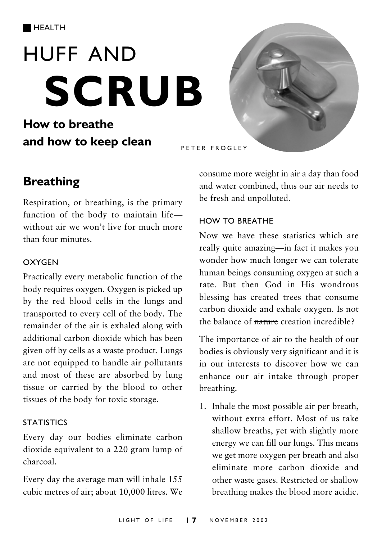# **HUFF AND SCRUB**

## How to breathe and how to keep clean



## **Breathing**

Respiration, or breathing, is the primary function of the body to maintain lifewithout air we won't live for much more than four minutes.

#### **OXYGEN**

Practically every metabolic function of the body requires oxygen. Oxygen is picked up by the red blood cells in the lungs and transported to every cell of the body. The remainder of the air is exhaled along with additional carbon dioxide which has been given off by cells as a waste product. Lungs are not equipped to handle air pollutants and most of these are absorbed by lung tissue or carried by the blood to other tissues of the body for toxic storage.

#### **STATISTICS**

Every day our bodies eliminate carbon dioxide equivalent to a 220 gram lump of charcoal.

Every day the average man will inhale 155 cubic metres of air; about 10,000 litres. We consume more weight in air a day than food and water combined, thus our air needs to be fresh and unpolluted.

#### HOW TO BREATHE

Now we have these statistics which are really quite amazing—in fact it makes you wonder how much longer we can tolerate human beings consuming oxygen at such a rate. But then God in His wondrous blessing has created trees that consume carbon dioxide and exhale oxygen. Is not the balance of nature creation incredible?

The importance of air to the health of our bodies is obviously very significant and it is in our interests to discover how we can enhance our air intake through proper breathing.

1. Inhale the most possible air per breath, without extra effort. Most of us take shallow breaths, yet with slightly more energy we can fill our lungs. This means we get more oxygen per breath and also eliminate more carbon dioxide and other waste gases. Restricted or shallow breathing makes the blood more acidic.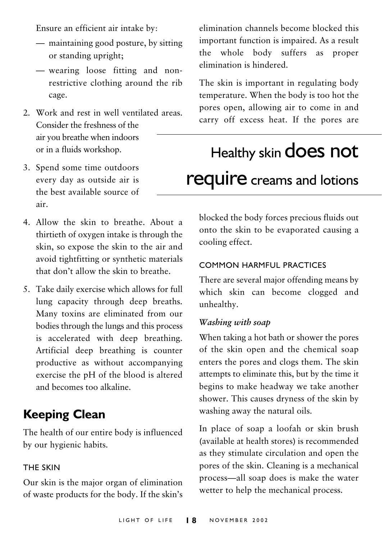Ensure an efficient air intake by:

- maintaining good posture, by sitting or standing upright;
- wearing loose fitting and nonrestrictive clothing around the rib cage.
- 2. Work and rest in well ventilated areas. Consider the freshness of the air you breathe when indoors or in a fluids workshop.
- 3. Spend some time outdoors every day as outside air is the best available source of air
- 4 Allow the skin to breathe About a thirtieth of oxygen intake is through the skin, so expose the skin to the air and avoid tightfitting or synthetic materials that don't allow the skin to breathe
- 5. Take daily exercise which allows for full lung capacity through deep breaths. Many toxins are eliminated from our bodies through the lungs and this process is accelerated with deep breathing. Artificial deep breathing is counter productive as without accompanying exercise the pH of the blood is altered and becomes too alkaline.

## **Keeping Clean**

The health of our entire body is influenced by our hygienic habits.

#### **THE SKIN**

Our skin is the major organ of elimination of waste products for the body. If the skin's elimination channels become blocked this important function is impaired. As a result the whole body suffers as proper elimination is hindered.

The skin is important in regulating body temperature. When the body is too hot the pores open, allowing air to come in and carry off excess heat. If the pores are

## Healthy skin does not require creams and lotions

blocked the body forces precious fluids out onto the skin to be evaporated causing a cooling effect.

#### COMMON HARMELII PRACTICES

There are several major offending means by which skin can become clogged and unhealthy.

#### Washing with soap

When taking a hot bath or shower the pores of the skin open and the chemical soap enters the pores and clogs them. The skin attempts to eliminate this, but by the time it begins to make headway we take another shower. This causes dryness of the skin by washing away the natural oils.

In place of soap a loofah or skin brush (available at health stores) is recommended as they stimulate circulation and open the pores of the skin. Cleaning is a mechanical process-all soap does is make the water wetter to help the mechanical process.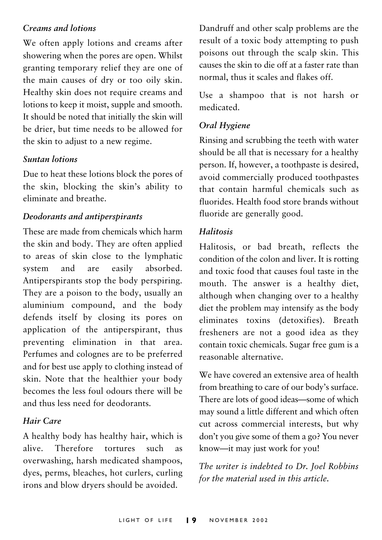#### Creams and lotions

We often apply lotions and creams after showering when the pores are open. Whilst granting temporary relief they are one of the main causes of dry or too oily skin. Healthy skin does not require creams and lotions to keep it moist, supple and smooth. It should be noted that initially the skin will be drier, but time needs to be allowed for the skin to adjust to a new regime.

#### **Suntan lotions**

Due to heat these lotions block the pores of the skin, blocking the skin's ability to eliminate and breathe

#### Deodorants and antiperspirants

These are made from chemicals which harm the skin and body. They are often applied to areas of skin close to the lymphatic system and are easily absorbed. Antiperspirants stop the body perspiring. They are a poison to the body, usually an aluminium compound, and the body defends itself by closing its pores on application of the antiperspirant, thus preventing elimination in that area. Perfumes and colognes are to be preferred and for best use apply to clothing instead of skin. Note that the healthier your body becomes the less foul odours there will be and thus less need for deodorants

#### Hair Care

A healthy body has healthy hair, which is alive Therefore tortures  $\mathbf{u}$  $a<sub>s</sub>$ overwashing, harsh medicated shampoos, dyes, perms, bleaches, hot curlers, curling irons and blow dryers should be avoided.

Dandruff and other scalp problems are the result of a toxic body attempting to push poisons out through the scalp skin. This causes the skin to die off at a faster rate than normal, thus it scales and flakes off.

Use a shampoo that is not harsh or medicated

#### Oral Hygiene

Rinsing and scrubbing the teeth with water should be all that is necessary for a healthy person. If, however, a toothpaste is desired, avoid commercially produced toothpastes that contain harmful chemicals such as fluorides. Health food store brands without fluoride are generally good.

#### Halitosis

Halitosis, or bad breath, reflects the condition of the colon and liver. It is rotting and toxic food that causes foul taste in the mouth. The answer is a healthy diet. although when changing over to a healthy diet the problem may intensify as the body eliminates toxins (detoxifies). Breath fresheners are not a good idea as they contain toxic chemicals. Sugar free gum is a reasonable alternative

We have covered an extensive area of health from breathing to care of our body's surface. There are lots of good ideas-some of which may sound a little different and which often cut across commercial interests, but why don't you give some of them a go? You never know-it may just work for you!

The writer is indebted to Dr. Joel Robbins for the material used in this article.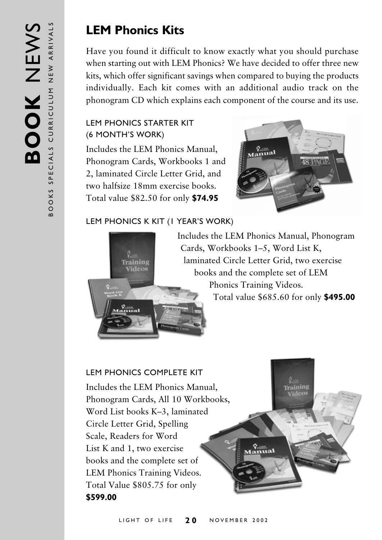## **LEM Phonics Kits**

Have you found it difficult to know exactly what you should purchase when starting out with LEM Phonics? We have decided to offer three new kits, which offer significant savings when compared to buying the products individually. Each kit comes with an additional audio track on the phonogram CD which explains each component of the course and its use.

#### LEM PHONICS STARTER KIT (6 MONTH'S WORK)

Includes the LEM Phonics Manual, Phonogram Cards, Workbooks 1 and 2, laminated Circle Letter Grid, and two halfsize 18mm exercise books. Total value \$82.50 for only **\$74.95** 



Training

#### LEM PHONICS K KIT (1 YEAR'S WORK)



Includes the LEM Phonics Manual, Phonogram Cards, Workbooks 1-5, Word List K, laminated Circle Letter Grid, two exercise books and the complete set of LEM Phonics Training Videos. Total value \$685.60 for only **\$495.00** 

 $\frac{Q_{\text{max}}}{2}$ 

#### LEM PHONICS COMPLETE KIT

Includes the LEM Phonics Manual, Phonogram Cards, All 10 Workbooks, Word List books K–3, laminated Circle Letter Grid, Spelling Scale, Readers for Word List K and 1, two exercise books and the complete set of LEM Phonics Training Videos. Total Value \$805.75 for only **\$599.00**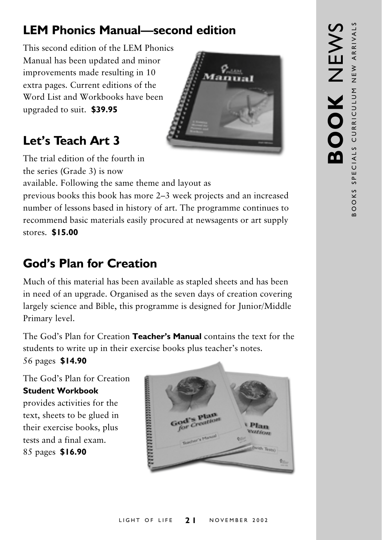## **LEM Phonics Manual-second edition**

This second edition of the LEM Phonics Manual has been updated and minor improvements made resulting in 10 extra pages. Current editions of the Word List and Workbooks have been upgraded to suit. \$39.95



## Let's Teach Art 3

The trial edition of the fourth in the series (Grade 3) is now

available. Following the same theme and layout as

previous books this book has more 2–3 week projects and an increased number of lessons based in history of art. The programme continues to recommend basic materials easily procured at newsagents or art supply stores. \$15.00

## **God's Plan for Creation**

Much of this material has been available as stapled sheets and has been in need of an upgrade. Organised as the seven days of creation covering largely science and Bible, this programme is designed for Junior/Middle Primary level.

The God's Plan for Creation Teacher's Manual contains the text for the students to write up in their exercise books plus teacher's notes.

56 pages \$14.90

The God's Plan for Creation **Student Workbook** 

provides activities for the text, sheets to be glued in their exercise books, plus tests and a final exam. 85 pages \$16.90

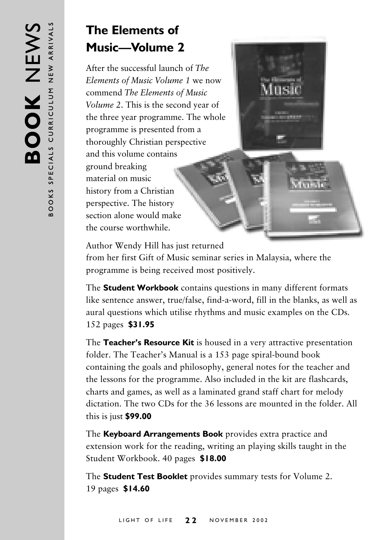## **The Elements of Music—Volume 2**

After the successful launch of *The* Elements of Music Volume 1 we now commend *The Elements of Music* Volume 2. This is the second year of the three year programme. The whole programme is presented from a thoroughly Christian perspective and this volume contains ground breaking material on music history from a Christian perspective. The history section alone would make the course worthwhile.



Author Wendy Hill has just returned

from her first Gift of Music seminar series in Malaysia, where the programme is being received most positively.

The **Student Workbook** contains questions in many different formats like sentence answer, true/false, find-a-word, fill in the blanks, as well as aural questions which utilise rhythms and music examples on the CDs. 3=0-**\$31.95**

The Teacher's Resource Kit is housed in a very attractive presentation folder. The Teacher's Manual is a 153 page spiral-bound book containing the goals and philosophy, general notes for the teacher and the lessons for the programme. Also included in the kit are flashcards, charts and games, as well as a laminated grand staff chart for melody dictation. The two CDs for the 36 lessons are mounted in the folder. All this is just **\$99.00** 

The Keyboard Arrangements Book provides extra practice and extension work for the reading, writing an playing skills taught in the Student Workbook. 40 pages **\$18.00** 

The **Student Test Booklet** provides summary tests for Volume 2. 3@-**\$14.60**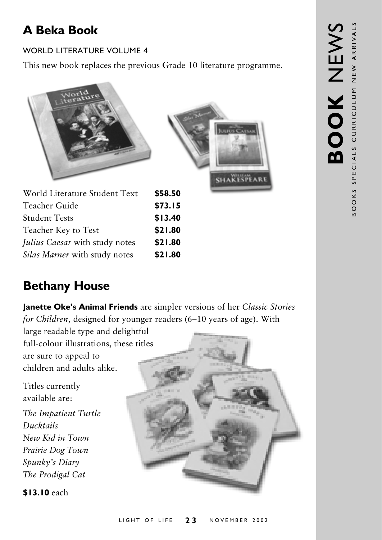## **A Beka Book**

#### **WORLD LITERATURE VOLUME 4**

This new book replaces the previous Grade 10 literature programme.



| World Literature Student Text  | 358.5C  |
|--------------------------------|---------|
| Teacher Guide                  | \$73.15 |
| <b>Student Tests</b>           | \$13.40 |
| Teacher Key to Test            | \$21.80 |
| Julius Caesar with study notes | \$21.80 |
| Silas Marner with study notes  | \$21.80 |
|                                |         |

## **Bethany House**

Janette Oke's Animal Friends are simpler versions of her Classic Stories for Children, designed for younger readers (6-10 years of age). With

large readable type and delightful full-colour illustrations, these titles are sure to appeal to children and adults alike.

Titles currently available are: The Impatient Turtle Ducktails New Kid in Town Prairie Dog Town Spunky's Diary The Prodigal Cat

\$13.10 each

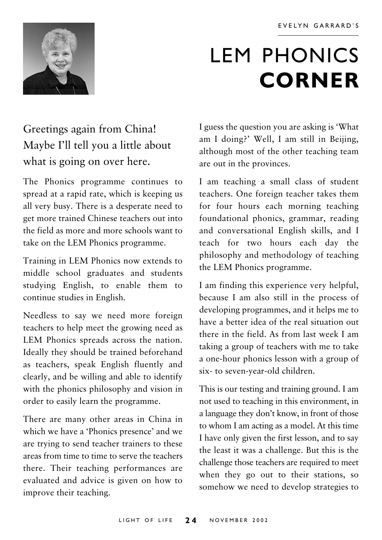

## **LEM PHONICS CORNER**

## Greetings again from China! Maybe I'll tell you a little about what is going on over here.

The Phonics programme continues to spread at a rapid rate, which is keeping us all very busy. There is a desperate need to get more trained Chinese teachers out into the field as more and more schools want to take on the LEM Phonics programme.

Training in LEM Phonics now extends to middle school graduates and students studying English, to enable them to continue studies in English.

Needless to say we need more foreign teachers to help meet the growing need as LEM Phonics spreads across the nation. Ideally they should be trained beforehand as teachers, speak English fluently and clearly, and be willing and able to identify with the phonics philosophy and vision in order to easily learn the programme.

There are many other areas in China in which we have a 'Phonics presence' and we are trying to send teacher trainers to these areas from time to time to serve the teachers there. Their teaching performances are evaluated and advice is given on how to improve their teaching.

I guess the question you are asking is 'What am I doing?' Well, I am still in Beijing, although most of the other teaching team are out in the provinces.

I am teaching a small class of student teachers. One foreign teacher takes them for four hours each morning teaching foundational phonics, grammar, reading and conversational English skills, and I teach for two hours each day the philosophy and methodology of teaching the LEM Phonics programme.

I am finding this experience very helpful, because I am also still in the process of developing programmes, and it helps me to have a better idea of the real situation out there in the field. As from last week I am taking a group of teachers with me to take a one-hour phonics lesson with a group of six- to seven-year-old children.

This is our testing and training ground. I am not used to teaching in this environment, in a language they don't know, in front of those to whom I am acting as a model. At this time I have only given the first lesson, and to say the least it was a challenge. But this is the challenge those teachers are required to meet when they go out to their stations, so somehow we need to develop strategies to